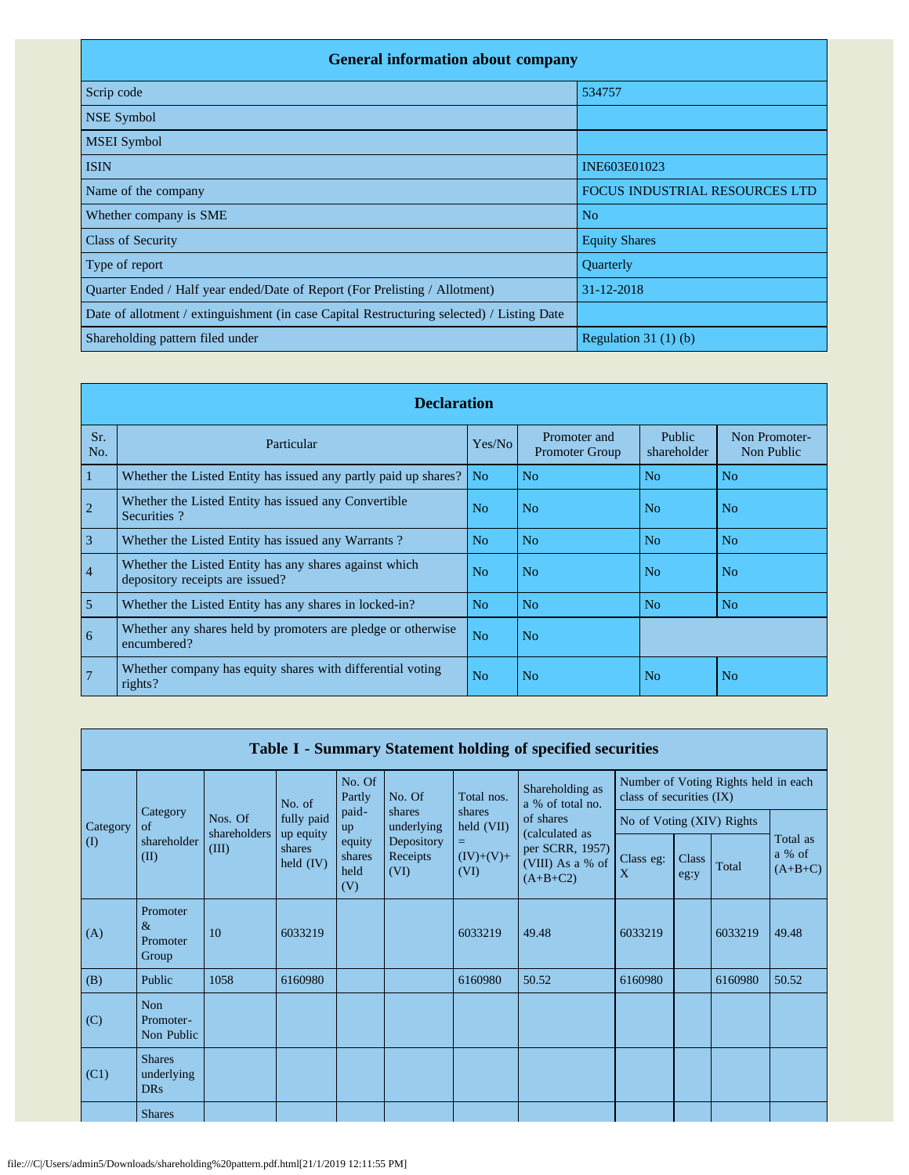| <b>General information about company</b>                                                   |                                       |  |  |  |  |  |  |  |  |
|--------------------------------------------------------------------------------------------|---------------------------------------|--|--|--|--|--|--|--|--|
| Scrip code                                                                                 | 534757                                |  |  |  |  |  |  |  |  |
| <b>NSE Symbol</b>                                                                          |                                       |  |  |  |  |  |  |  |  |
| <b>MSEI</b> Symbol                                                                         |                                       |  |  |  |  |  |  |  |  |
| <b>ISIN</b>                                                                                | INE603E01023                          |  |  |  |  |  |  |  |  |
| Name of the company                                                                        | <b>FOCUS INDUSTRIAL RESOURCES LTD</b> |  |  |  |  |  |  |  |  |
| Whether company is SME                                                                     | N <sub>o</sub>                        |  |  |  |  |  |  |  |  |
| <b>Class of Security</b>                                                                   | <b>Equity Shares</b>                  |  |  |  |  |  |  |  |  |
| Type of report                                                                             | Quarterly                             |  |  |  |  |  |  |  |  |
| Quarter Ended / Half year ended/Date of Report (For Prelisting / Allotment)                | 31-12-2018                            |  |  |  |  |  |  |  |  |
| Date of allotment / extinguishment (in case Capital Restructuring selected) / Listing Date |                                       |  |  |  |  |  |  |  |  |
| Shareholding pattern filed under                                                           | Regulation 31 $(1)$ $(b)$             |  |  |  |  |  |  |  |  |

|                | <b>Declaration</b>                                                                        |                |                                       |                       |                             |  |  |  |  |  |
|----------------|-------------------------------------------------------------------------------------------|----------------|---------------------------------------|-----------------------|-----------------------------|--|--|--|--|--|
| Sr.<br>No.     | Particular                                                                                | Yes/No         | Promoter and<br><b>Promoter Group</b> | Public<br>shareholder | Non Promoter-<br>Non Public |  |  |  |  |  |
|                | Whether the Listed Entity has issued any partly paid up shares?                           | No             | No                                    | N <sub>0</sub>        | No                          |  |  |  |  |  |
| $\overline{2}$ | Whether the Listed Entity has issued any Convertible<br>Securities?                       | N <sub>0</sub> | N <sub>o</sub>                        | N <sub>o</sub>        | N <sub>o</sub>              |  |  |  |  |  |
| 3              | Whether the Listed Entity has issued any Warrants?                                        | No             | No                                    | No                    | No                          |  |  |  |  |  |
| $\overline{4}$ | Whether the Listed Entity has any shares against which<br>depository receipts are issued? | N <sub>0</sub> | N <sub>o</sub>                        | N <sub>0</sub>        | N <sub>0</sub>              |  |  |  |  |  |
| 5              | Whether the Listed Entity has any shares in locked-in?                                    | No             | No                                    | No                    | N <sub>0</sub>              |  |  |  |  |  |
| 6              | Whether any shares held by promoters are pledge or otherwise<br>encumbered?               | N <sub>o</sub> | No.                                   |                       |                             |  |  |  |  |  |
| $\overline{7}$ | Whether company has equity shares with differential voting<br>rights?                     | N <sub>o</sub> | N <sub>o</sub>                        | N <sub>o</sub>        | No                          |  |  |  |  |  |

| Table I - Summary Statement holding of specified securities |                                           |                       |                                                  |                                 |                                |                           |                                                                     |                                                                  |               |         |                                 |
|-------------------------------------------------------------|-------------------------------------------|-----------------------|--------------------------------------------------|---------------------------------|--------------------------------|---------------------------|---------------------------------------------------------------------|------------------------------------------------------------------|---------------|---------|---------------------------------|
|                                                             |                                           |                       | No. of                                           | No. Of<br>Partly                | No. Of                         | Total nos.                | Shareholding as<br>a % of total no.                                 | Number of Voting Rights held in each<br>class of securities (IX) |               |         |                                 |
| Category                                                    | Category<br>of                            | Nos. Of               | fully paid<br>up equity<br>shares<br>held $(IV)$ | paid-<br>up                     | shares<br>underlying           | shares<br>held (VII)      | of shares                                                           | No of Voting (XIV) Rights                                        |               |         |                                 |
| $\rm(D)$                                                    | shareholder<br>(II)                       | shareholders<br>(III) |                                                  | equity<br>shares<br>held<br>(V) | Depository<br>Receipts<br>(VI) | Ξ.<br>$(IV)+(V)+$<br>(VI) | (calculated as<br>per SCRR, 1957)<br>(VIII) As a % of<br>$(A+B+C2)$ | Class eg:<br>X                                                   | Class<br>eg:y | Total   | Total as<br>a % of<br>$(A+B+C)$ |
| (A)                                                         | Promoter<br>$\&$<br>Promoter<br>Group     | 10                    | 6033219                                          |                                 |                                | 6033219                   | 49.48                                                               | 6033219                                                          |               | 6033219 | 49.48                           |
| (B)                                                         | Public                                    | 1058                  | 6160980                                          |                                 |                                | 6160980                   | 50.52                                                               | 6160980                                                          |               | 6160980 | 50.52                           |
| (C)                                                         | <b>Non</b><br>Promoter-<br>Non Public     |                       |                                                  |                                 |                                |                           |                                                                     |                                                                  |               |         |                                 |
| (C1)                                                        | <b>Shares</b><br>underlying<br><b>DRs</b> |                       |                                                  |                                 |                                |                           |                                                                     |                                                                  |               |         |                                 |
|                                                             | <b>Shares</b>                             |                       |                                                  |                                 |                                |                           |                                                                     |                                                                  |               |         |                                 |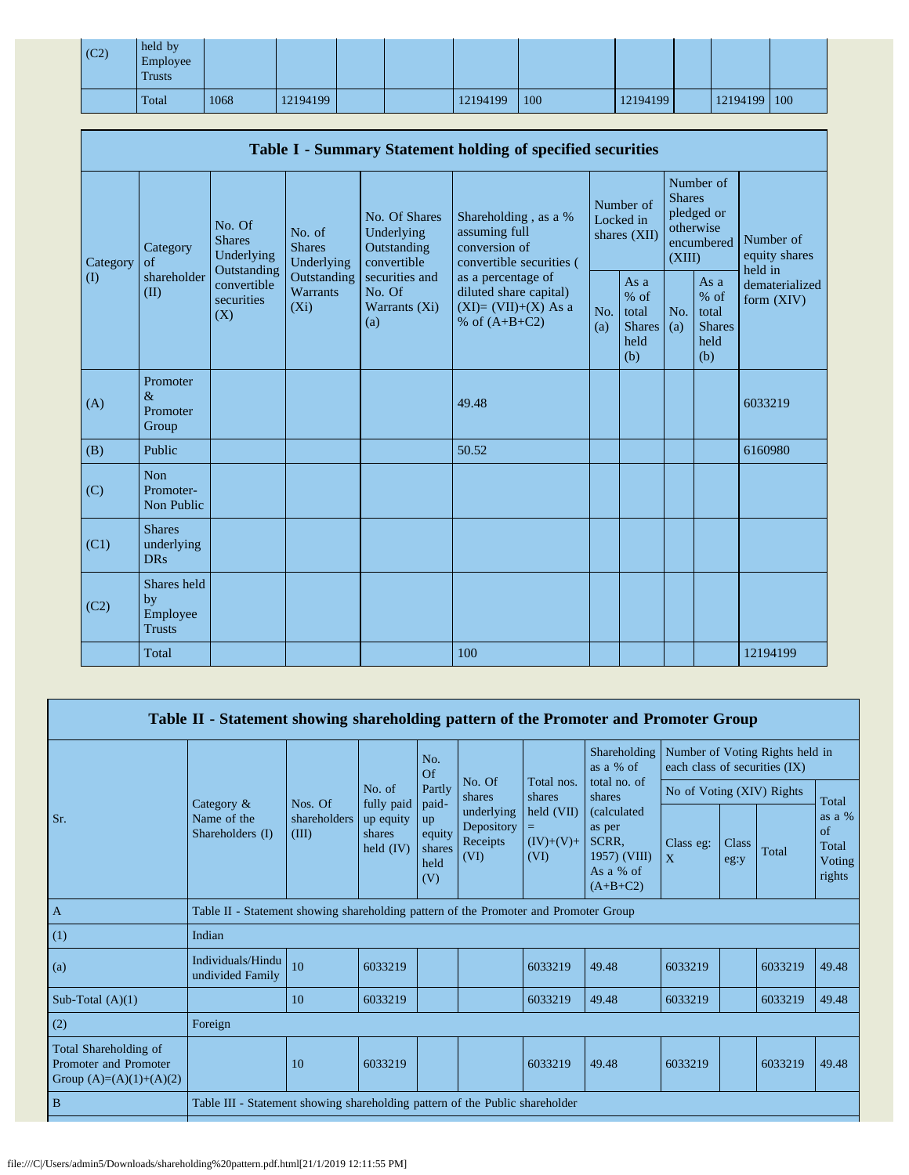| (C2) | held by<br>Employee<br><b>Trusts</b> |      |          |  |          |     |          |              |  |
|------|--------------------------------------|------|----------|--|----------|-----|----------|--------------|--|
|      | Total                                | 1068 | 12194199 |  | 12194199 | 100 | 12194199 | 12194199 100 |  |

| Table I - Summary Statement holding of specified securities |                                                |                                                                                          |                                                                             |                                                                                                               |                                                                                                                                                                                |                                        |                                                         |                                                                               |                                                         |                                       |
|-------------------------------------------------------------|------------------------------------------------|------------------------------------------------------------------------------------------|-----------------------------------------------------------------------------|---------------------------------------------------------------------------------------------------------------|--------------------------------------------------------------------------------------------------------------------------------------------------------------------------------|----------------------------------------|---------------------------------------------------------|-------------------------------------------------------------------------------|---------------------------------------------------------|---------------------------------------|
| Category<br>$\rm(D)$                                        | Category<br>of<br>shareholder<br>(II)          | No. Of<br><b>Shares</b><br>Underlying<br>Outstanding<br>convertible<br>securities<br>(X) | No. of<br><b>Shares</b><br>Underlying<br>Outstanding<br>Warrants<br>$(X_i)$ | No. Of Shares<br>Underlying<br>Outstanding<br>convertible<br>securities and<br>No. Of<br>Warrants (Xi)<br>(a) | Shareholding, as a %<br>assuming full<br>conversion of<br>convertible securities (<br>as a percentage of<br>diluted share capital)<br>$(XI)=(VII)+(X)$ As a<br>% of $(A+B+C2)$ | Number of<br>Locked in<br>shares (XII) |                                                         | Number of<br><b>Shares</b><br>pledged or<br>otherwise<br>encumbered<br>(XIII) |                                                         | Number of<br>equity shares<br>held in |
|                                                             |                                                |                                                                                          |                                                                             |                                                                                                               |                                                                                                                                                                                | No.<br>(a)                             | As a<br>$%$ of<br>total<br><b>Shares</b><br>held<br>(b) | No.<br>(a)                                                                    | As a<br>$%$ of<br>total<br><b>Shares</b><br>held<br>(b) | dematerialized<br>form $(XIV)$        |
| (A)                                                         | Promoter<br>$\&$<br>Promoter<br>Group          |                                                                                          |                                                                             |                                                                                                               | 49.48                                                                                                                                                                          |                                        |                                                         |                                                                               |                                                         | 6033219                               |
| (B)                                                         | Public                                         |                                                                                          |                                                                             |                                                                                                               | 50.52                                                                                                                                                                          |                                        |                                                         |                                                                               |                                                         | 6160980                               |
| (C)                                                         | Non<br>Promoter-<br>Non Public                 |                                                                                          |                                                                             |                                                                                                               |                                                                                                                                                                                |                                        |                                                         |                                                                               |                                                         |                                       |
| (C1)                                                        | <b>Shares</b><br>underlying<br><b>DRs</b>      |                                                                                          |                                                                             |                                                                                                               |                                                                                                                                                                                |                                        |                                                         |                                                                               |                                                         |                                       |
| (C2)                                                        | Shares held<br>by<br>Employee<br><b>Trusts</b> |                                                                                          |                                                                             |                                                                                                               |                                                                                                                                                                                |                                        |                                                         |                                                                               |                                                         |                                       |
|                                                             | Total                                          |                                                                                          |                                                                             |                                                                                                               | 100                                                                                                                                                                            |                                        |                                                         |                                                                               |                                                         | 12194199                              |

| Table II - Statement showing shareholding pattern of the Promoter and Promoter Group |                                                                                      |                                                                              |                                                            |                                       |                                              |                                            |                                                                                                                                  |                                                                  |               |         |                                           |
|--------------------------------------------------------------------------------------|--------------------------------------------------------------------------------------|------------------------------------------------------------------------------|------------------------------------------------------------|---------------------------------------|----------------------------------------------|--------------------------------------------|----------------------------------------------------------------------------------------------------------------------------------|------------------------------------------------------------------|---------------|---------|-------------------------------------------|
|                                                                                      |                                                                                      |                                                                              |                                                            | No.<br>Of                             |                                              |                                            | Shareholding<br>as a % of<br>total no. of<br>shares<br>(calculated<br>as per<br>SCRR,<br>1957) (VIII)<br>As a % of<br>$(A+B+C2)$ | Number of Voting Rights held in<br>each class of securities (IX) |               |         |                                           |
|                                                                                      |                                                                                      | Nos. Of                                                                      | No. of<br>fully paid<br>up equity<br>shares<br>held $(IV)$ | Partly<br>paid-                       | No. Of<br>shares                             | Total nos.<br>shares                       |                                                                                                                                  | No of Voting (XIV) Rights                                        |               |         | Total                                     |
| Sr.                                                                                  | Category $\&$<br>Name of the<br>Shareholders (I)                                     | shareholders<br>(III)                                                        |                                                            | up<br>equity<br>shares<br>held<br>(V) | underlying<br>Depository<br>Receipts<br>(VI) | $\text{held (VII)}$<br>$(IV)+(V)+$<br>(VI) |                                                                                                                                  | Class eg:<br>$\mathbf{X}$                                        | Class<br>eg:y | Total   | as a %<br>of<br>Total<br>Voting<br>rights |
| $\mathbf{A}$                                                                         | Table II - Statement showing shareholding pattern of the Promoter and Promoter Group |                                                                              |                                                            |                                       |                                              |                                            |                                                                                                                                  |                                                                  |               |         |                                           |
| (1)                                                                                  | Indian                                                                               |                                                                              |                                                            |                                       |                                              |                                            |                                                                                                                                  |                                                                  |               |         |                                           |
| (a)                                                                                  | Individuals/Hindu<br>undivided Family                                                | 10                                                                           | 6033219                                                    |                                       |                                              | 6033219                                    | 49.48                                                                                                                            | 6033219                                                          |               | 6033219 | 49.48                                     |
| Sub-Total $(A)(1)$                                                                   |                                                                                      | 10                                                                           | 6033219                                                    |                                       |                                              | 6033219                                    | 49.48                                                                                                                            | 6033219                                                          |               | 6033219 | 49.48                                     |
| (2)                                                                                  | Foreign                                                                              |                                                                              |                                                            |                                       |                                              |                                            |                                                                                                                                  |                                                                  |               |         |                                           |
| Total Shareholding of<br>Promoter and Promoter<br>Group $(A)=(A)(1)+(A)(2)$          |                                                                                      | 10<br>6033219<br>6033219<br>49.48<br>6033219<br>6033219<br>49.48             |                                                            |                                       |                                              |                                            |                                                                                                                                  |                                                                  |               |         |                                           |
| $\mathbf B$                                                                          |                                                                                      | Table III - Statement showing shareholding pattern of the Public shareholder |                                                            |                                       |                                              |                                            |                                                                                                                                  |                                                                  |               |         |                                           |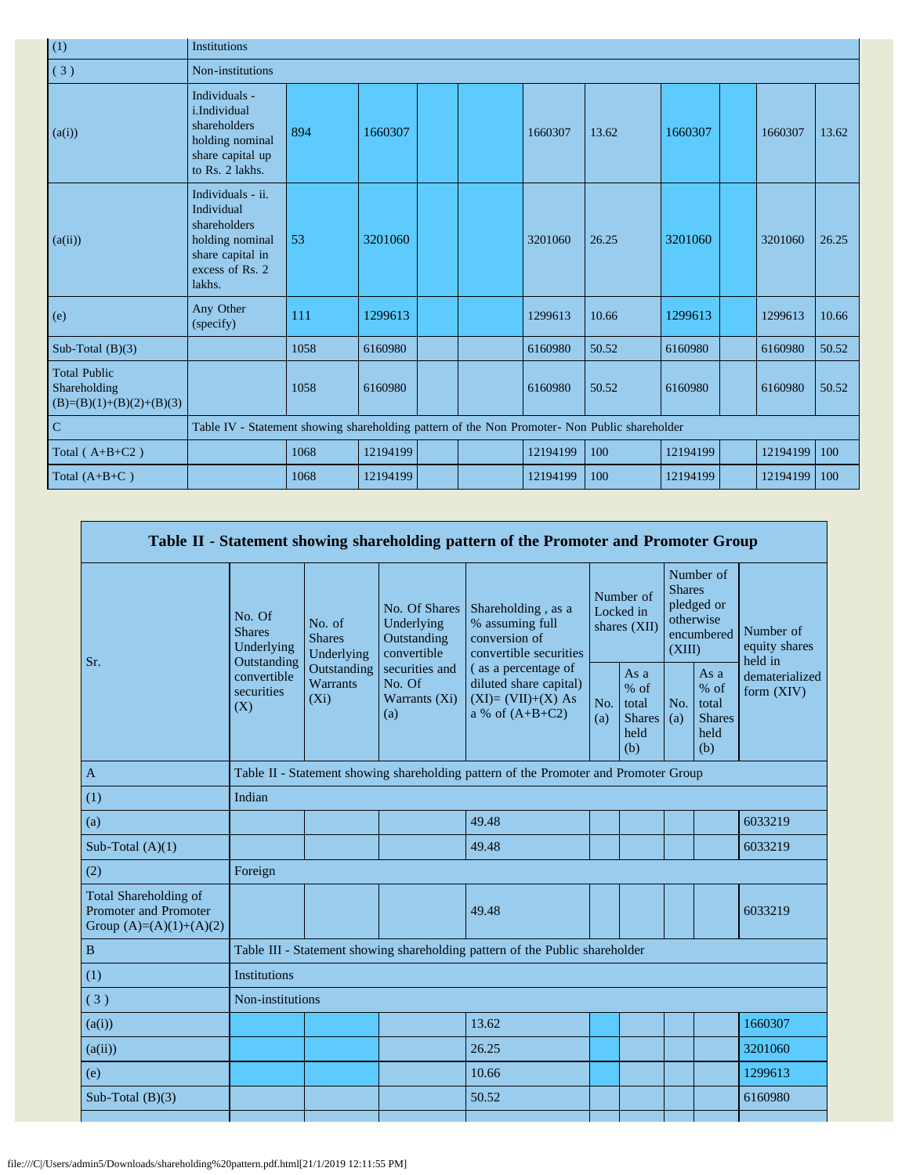| (1)                                                               | <b>Institutions</b>                                                                                                 |                                                                                               |          |  |  |          |       |          |  |          |       |
|-------------------------------------------------------------------|---------------------------------------------------------------------------------------------------------------------|-----------------------------------------------------------------------------------------------|----------|--|--|----------|-------|----------|--|----------|-------|
| (3)                                                               | Non-institutions                                                                                                    |                                                                                               |          |  |  |          |       |          |  |          |       |
| (a(i))                                                            | Individuals -<br>i.Individual<br>shareholders<br>holding nominal<br>share capital up<br>to Rs. 2 lakhs.             | 894                                                                                           | 1660307  |  |  | 1660307  | 13.62 | 1660307  |  | 1660307  | 13.62 |
| (a(ii))                                                           | Individuals - ii.<br>Individual<br>shareholders<br>holding nominal<br>share capital in<br>excess of Rs. 2<br>lakhs. | 53                                                                                            | 3201060  |  |  | 3201060  | 26.25 | 3201060  |  | 3201060  | 26.25 |
| (e)                                                               | Any Other<br>(specify)                                                                                              | 111                                                                                           | 1299613  |  |  | 1299613  | 10.66 | 1299613  |  | 1299613  | 10.66 |
| Sub-Total $(B)(3)$                                                |                                                                                                                     | 1058                                                                                          | 6160980  |  |  | 6160980  | 50.52 | 6160980  |  | 6160980  | 50.52 |
| <b>Total Public</b><br>Shareholding<br>$(B)=(B)(1)+(B)(2)+(B)(3)$ |                                                                                                                     | 1058                                                                                          | 6160980  |  |  | 6160980  | 50.52 | 6160980  |  | 6160980  | 50.52 |
| ${\bf C}$                                                         |                                                                                                                     | Table IV - Statement showing shareholding pattern of the Non Promoter- Non Public shareholder |          |  |  |          |       |          |  |          |       |
| Total $(A+B+C2)$                                                  |                                                                                                                     | 1068                                                                                          | 12194199 |  |  | 12194199 | 100   | 12194199 |  | 12194199 | 100   |
| Total $(A+B+C)$                                                   |                                                                                                                     | 1068                                                                                          | 12194199 |  |  | 12194199 | 100   | 12194199 |  | 12194199 | 100   |

| Table II - Statement showing shareholding pattern of the Promoter and Promoter Group |                                                 |                                                                                      |                                                           |                                                                                           |                                        |                                                           |                                                                               |                                                         |                                       |  |
|--------------------------------------------------------------------------------------|-------------------------------------------------|--------------------------------------------------------------------------------------|-----------------------------------------------------------|-------------------------------------------------------------------------------------------|----------------------------------------|-----------------------------------------------------------|-------------------------------------------------------------------------------|---------------------------------------------------------|---------------------------------------|--|
| Sr.                                                                                  | No. Of<br><b>Shares</b><br>Underlying           | No. of<br><b>Shares</b><br>Underlying                                                | No. Of Shares<br>Underlying<br>Outstanding<br>convertible | Shareholding, as a<br>% assuming full<br>conversion of<br>convertible securities          | Number of<br>Locked in<br>shares (XII) |                                                           | Number of<br><b>Shares</b><br>pledged or<br>otherwise<br>encumbered<br>(XIII) |                                                         | Number of<br>equity shares<br>held in |  |
|                                                                                      | Outstanding<br>convertible<br>securities<br>(X) | Outstanding<br>Warrants<br>$(X_i)$                                                   | securities and<br>No. Of<br>Warrants (Xi)<br>(a)          | (as a percentage of<br>diluted share capital)<br>$(XI)=(VII)+(X) As$<br>a % of $(A+B+C2)$ | No.<br>(a)                             | As $a$<br>$%$ of<br>total<br><b>Shares</b><br>held<br>(b) | No.<br>(a)                                                                    | As a<br>$%$ of<br>total<br><b>Shares</b><br>held<br>(b) | dematerialized<br>form (XIV)          |  |
| $\overline{A}$                                                                       |                                                 | Table II - Statement showing shareholding pattern of the Promoter and Promoter Group |                                                           |                                                                                           |                                        |                                                           |                                                                               |                                                         |                                       |  |
| (1)                                                                                  | Indian                                          |                                                                                      |                                                           |                                                                                           |                                        |                                                           |                                                                               |                                                         |                                       |  |
| (a)                                                                                  |                                                 |                                                                                      |                                                           | 49.48                                                                                     |                                        |                                                           |                                                                               |                                                         | 6033219                               |  |
| Sub-Total $(A)(1)$                                                                   |                                                 |                                                                                      |                                                           | 49.48                                                                                     |                                        |                                                           |                                                                               |                                                         | 6033219                               |  |
| (2)                                                                                  | Foreign                                         |                                                                                      |                                                           |                                                                                           |                                        |                                                           |                                                                               |                                                         |                                       |  |
| Total Shareholding of<br>Promoter and Promoter<br>Group $(A)=(A)(1)+(A)(2)$          |                                                 |                                                                                      |                                                           | 49.48                                                                                     |                                        |                                                           |                                                                               |                                                         | 6033219                               |  |
| $\, {\bf B}$                                                                         |                                                 |                                                                                      |                                                           | Table III - Statement showing shareholding pattern of the Public shareholder              |                                        |                                                           |                                                                               |                                                         |                                       |  |
| (1)                                                                                  | <b>Institutions</b>                             |                                                                                      |                                                           |                                                                                           |                                        |                                                           |                                                                               |                                                         |                                       |  |
| (3)                                                                                  | Non-institutions                                |                                                                                      |                                                           |                                                                                           |                                        |                                                           |                                                                               |                                                         |                                       |  |
| (a(i))                                                                               |                                                 |                                                                                      |                                                           | 13.62                                                                                     |                                        |                                                           |                                                                               |                                                         | 1660307                               |  |
| (a(ii))                                                                              |                                                 |                                                                                      |                                                           | 26.25                                                                                     |                                        |                                                           |                                                                               |                                                         | 3201060                               |  |
| (e)                                                                                  |                                                 |                                                                                      |                                                           | 10.66                                                                                     |                                        |                                                           |                                                                               |                                                         | 1299613                               |  |
| Sub-Total $(B)(3)$                                                                   |                                                 |                                                                                      |                                                           | 50.52                                                                                     |                                        |                                                           |                                                                               |                                                         | 6160980                               |  |
|                                                                                      |                                                 |                                                                                      |                                                           |                                                                                           |                                        |                                                           |                                                                               |                                                         |                                       |  |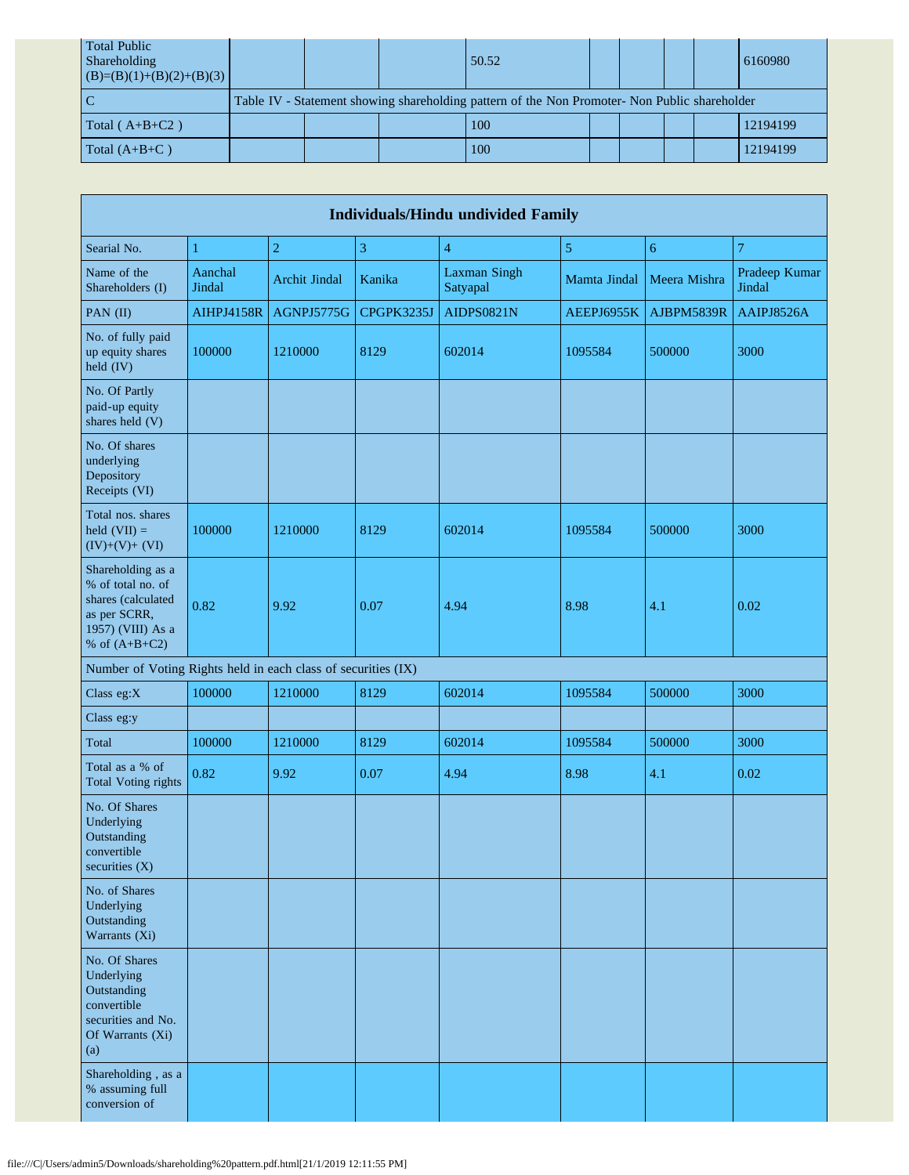| <b>Total Public</b><br>Shareholding<br>$(B)=(B)(1)+(B)(2)+(B)(3)$ |                                                                                               |  | 50.52 |  |  |  |  | 6160980  |  |
|-------------------------------------------------------------------|-----------------------------------------------------------------------------------------------|--|-------|--|--|--|--|----------|--|
|                                                                   | Table IV - Statement showing shareholding pattern of the Non Promoter- Non Public shareholder |  |       |  |  |  |  |          |  |
| Total $(A+B+C2)$                                                  |                                                                                               |  | 100   |  |  |  |  | 12194199 |  |
| Total $(A+B+C)$                                                   |                                                                                               |  | 100   |  |  |  |  | 12194199 |  |

| <b>Individuals/Hindu undivided Family</b>                                                                            |                   |                      |                |                                 |              |              |                         |  |  |
|----------------------------------------------------------------------------------------------------------------------|-------------------|----------------------|----------------|---------------------------------|--------------|--------------|-------------------------|--|--|
| Searial No.                                                                                                          | $\mathbf{1}$      | $\overline{2}$       | $\mathfrak{Z}$ | $\overline{4}$                  | 5            | 6            | 7                       |  |  |
| Name of the<br>Shareholders (I)                                                                                      | Aanchal<br>Jindal | <b>Archit Jindal</b> | Kanika         | <b>Laxman Singh</b><br>Satyapal | Mamta Jindal | Meera Mishra | Pradeep Kumar<br>Jindal |  |  |
| PAN (II)                                                                                                             | <b>AIHPJ4158R</b> | AGNPJ5775G           | CPGPK3235J     | AIDPS0821N                      | AEEPJ6955K   | AJBPM5839R   | AAIPJ8526A              |  |  |
| No. of fully paid<br>up equity shares<br>held (IV)                                                                   | 100000            | 1210000              | 8129           | 602014                          | 1095584      | 500000       | 3000                    |  |  |
| No. Of Partly<br>paid-up equity<br>shares held (V)                                                                   |                   |                      |                |                                 |              |              |                         |  |  |
| No. Of shares<br>underlying<br>Depository<br>Receipts (VI)                                                           |                   |                      |                |                                 |              |              |                         |  |  |
| Total nos. shares<br>held $(VII) =$<br>$(IV)+(V)+(VI)$                                                               | 100000            | 1210000              | 8129           | 602014                          | 1095584      | 500000       | 3000                    |  |  |
| Shareholding as a<br>% of total no. of<br>shares (calculated<br>as per SCRR,<br>1957) (VIII) As a<br>% of $(A+B+C2)$ | 0.82              | 9.92                 | 0.07           | 4.94                            | 8.98         | 4.1          | 0.02                    |  |  |
| Number of Voting Rights held in each class of securities (IX)                                                        |                   |                      |                |                                 |              |              |                         |  |  |
| Class eg:X                                                                                                           | 100000            | 1210000              | 8129           | 602014                          | 1095584      | 500000       | 3000                    |  |  |
| Class eg:y                                                                                                           |                   |                      |                |                                 |              |              |                         |  |  |
| Total                                                                                                                | 100000            | 1210000              | 8129           | 602014                          | 1095584      | 500000       | 3000                    |  |  |
| Total as a % of<br><b>Total Voting rights</b>                                                                        | 0.82              | 9.92                 | 0.07           | 4.94                            | 8.98         | 4.1          | 0.02                    |  |  |
| No. Of Shares<br>Underlying<br>Outstanding<br>convertible<br>securities $(X)$                                        |                   |                      |                |                                 |              |              |                         |  |  |
| No. of Shares<br>Underlying<br>Outstanding<br>Warrants (Xi)                                                          |                   |                      |                |                                 |              |              |                         |  |  |
| No. Of Shares<br>Underlying<br>Outstanding<br>convertible<br>securities and No.<br>Of Warrants (Xi)<br>(a)           |                   |                      |                |                                 |              |              |                         |  |  |
| Shareholding, as a<br>% assuming full<br>conversion of                                                               |                   |                      |                |                                 |              |              |                         |  |  |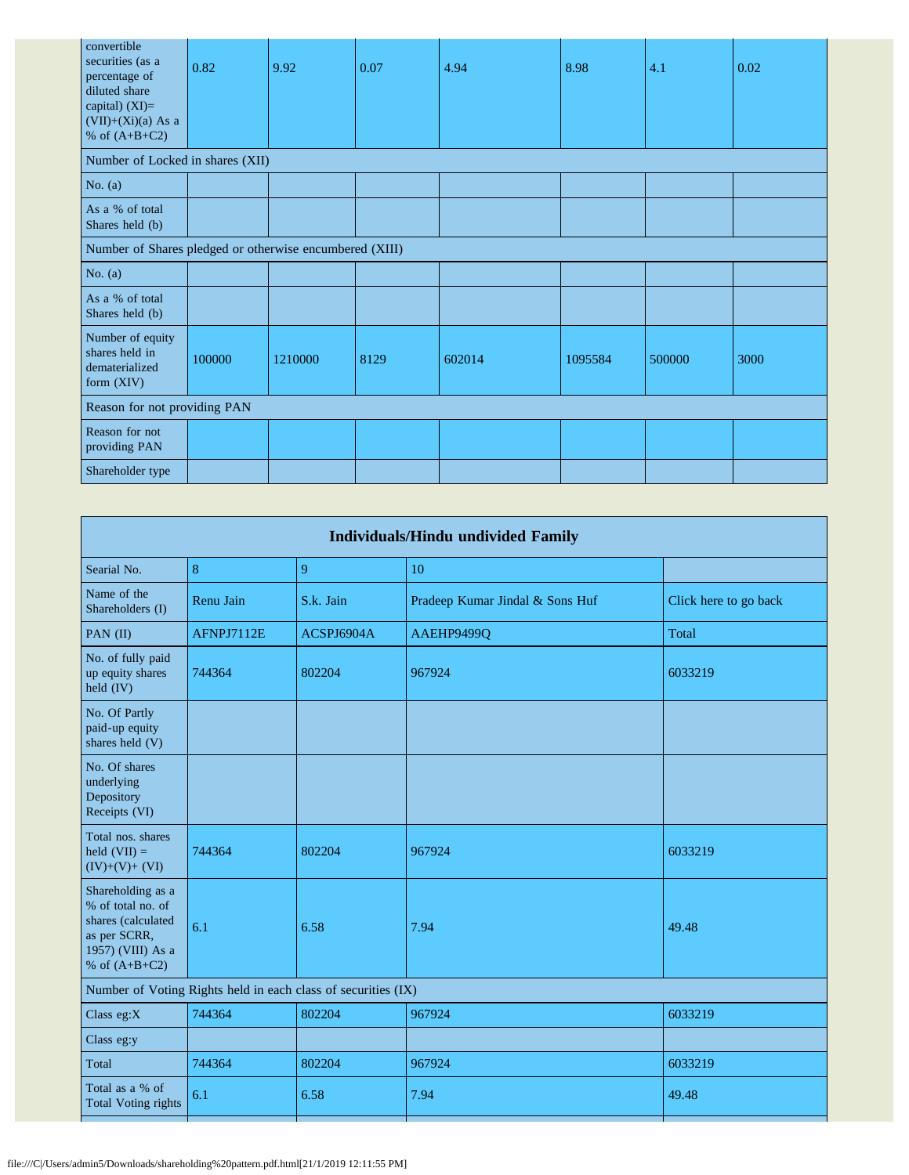| convertible<br>securities (as a<br>percentage of<br>diluted share<br>capital) $(XI)=$<br>$(VII)+(Xi)(a)$ As a<br>% of $(A+B+C2)$ | 0.82   | 9.92    | 0.07 | 4.94   | 8.98    | 4.1    | 0.02 |  |  |
|----------------------------------------------------------------------------------------------------------------------------------|--------|---------|------|--------|---------|--------|------|--|--|
| Number of Locked in shares (XII)                                                                                                 |        |         |      |        |         |        |      |  |  |
| No. $(a)$                                                                                                                        |        |         |      |        |         |        |      |  |  |
| As a % of total<br>Shares held (b)                                                                                               |        |         |      |        |         |        |      |  |  |
| Number of Shares pledged or otherwise encumbered (XIII)                                                                          |        |         |      |        |         |        |      |  |  |
| No. $(a)$                                                                                                                        |        |         |      |        |         |        |      |  |  |
| As a % of total<br>Shares held (b)                                                                                               |        |         |      |        |         |        |      |  |  |
| Number of equity<br>shares held in<br>dematerialized<br>form $(XIV)$                                                             | 100000 | 1210000 | 8129 | 602014 | 1095584 | 500000 | 3000 |  |  |
| Reason for not providing PAN                                                                                                     |        |         |      |        |         |        |      |  |  |
| Reason for not<br>providing PAN                                                                                                  |        |         |      |        |         |        |      |  |  |
| Shareholder type                                                                                                                 |        |         |      |        |         |        |      |  |  |

| <b>Individuals/Hindu undivided Family</b>                                                                            |            |                                                               |                                 |                       |  |  |  |  |  |
|----------------------------------------------------------------------------------------------------------------------|------------|---------------------------------------------------------------|---------------------------------|-----------------------|--|--|--|--|--|
| Searial No.                                                                                                          | 8          | 9                                                             | 10                              |                       |  |  |  |  |  |
| Name of the<br>Shareholders (I)                                                                                      | Renu Jain  | S.k. Jain                                                     | Pradeep Kumar Jindal & Sons Huf | Click here to go back |  |  |  |  |  |
| PAN $(II)$                                                                                                           | AFNPJ7112E | ACSPJ6904A                                                    | AAEHP9499Q                      | Total                 |  |  |  |  |  |
| No. of fully paid<br>up equity shares<br>held (IV)                                                                   | 744364     | 802204                                                        | 967924                          | 6033219               |  |  |  |  |  |
| No. Of Partly<br>paid-up equity<br>shares held (V)                                                                   |            |                                                               |                                 |                       |  |  |  |  |  |
| No. Of shares<br>underlying<br>Depository<br>Receipts (VI)                                                           |            |                                                               |                                 |                       |  |  |  |  |  |
| Total nos, shares<br>held $(VII) =$<br>$(IV)+(V)+(VI)$                                                               | 744364     | 802204                                                        | 967924                          | 6033219               |  |  |  |  |  |
| Shareholding as a<br>% of total no. of<br>shares (calculated<br>as per SCRR,<br>1957) (VIII) As a<br>% of $(A+B+C2)$ | 6.1        | 6.58                                                          | 7.94                            | 49.48                 |  |  |  |  |  |
|                                                                                                                      |            | Number of Voting Rights held in each class of securities (IX) |                                 |                       |  |  |  |  |  |
| Class $eg:X$                                                                                                         | 744364     | 802204                                                        | 967924                          | 6033219               |  |  |  |  |  |
| Class eg:y                                                                                                           |            |                                                               |                                 |                       |  |  |  |  |  |
| Total                                                                                                                | 744364     | 802204                                                        | 967924                          | 6033219               |  |  |  |  |  |
| Total as a % of<br><b>Total Voting rights</b>                                                                        | 6.1        | 6.58                                                          | 7.94                            | 49.48                 |  |  |  |  |  |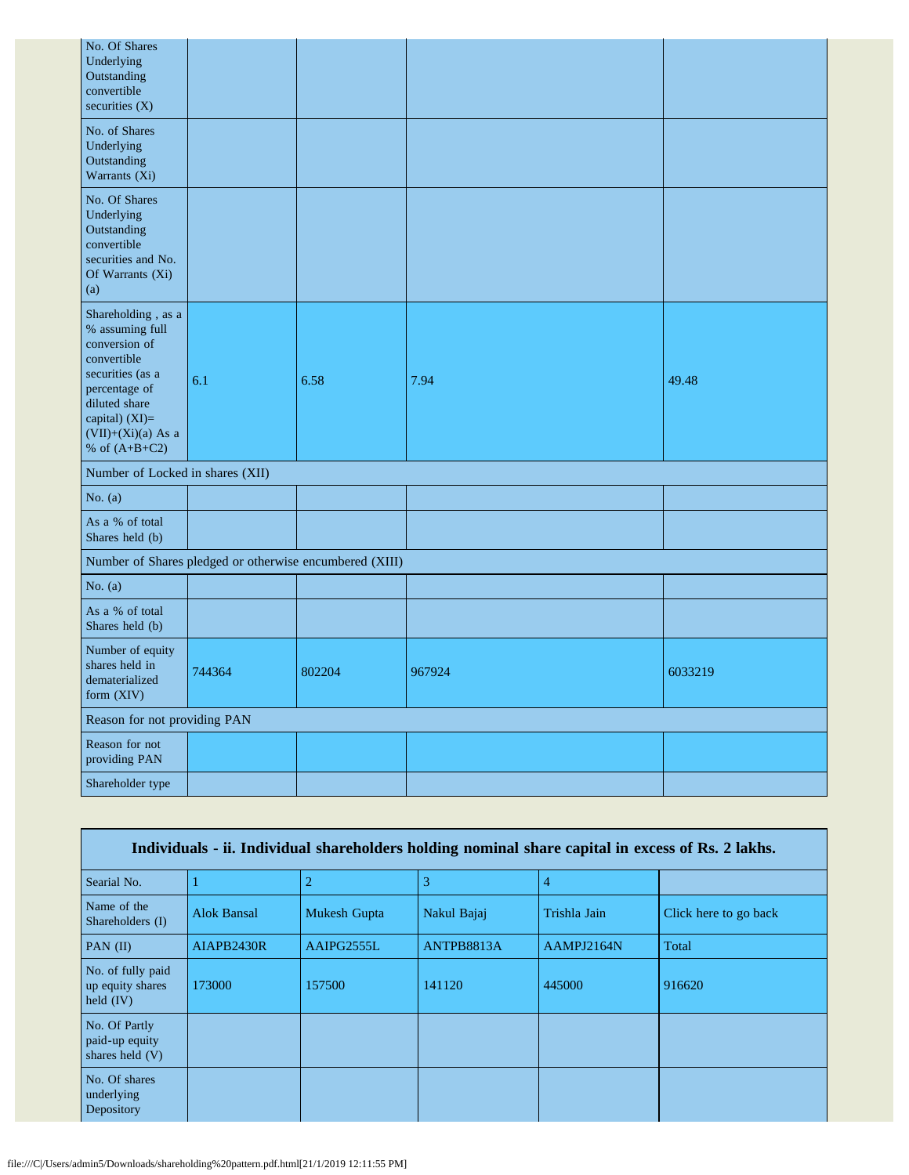| No. Of Shares<br>Underlying<br>Outstanding<br>convertible<br>securities $(X)$                                                                                                            |                                                         |        |        |         |  |  |
|------------------------------------------------------------------------------------------------------------------------------------------------------------------------------------------|---------------------------------------------------------|--------|--------|---------|--|--|
| No. of Shares<br>Underlying<br>Outstanding<br>Warrants (Xi)                                                                                                                              |                                                         |        |        |         |  |  |
| No. Of Shares<br>Underlying<br>Outstanding<br>convertible<br>securities and No.<br>Of Warrants (Xi)<br>(a)                                                                               |                                                         |        |        |         |  |  |
| Shareholding, as a<br>% assuming full<br>conversion of<br>convertible<br>securities (as a<br>percentage of<br>diluted share<br>capital) (XI)=<br>$(VII)+(Xi)(a)$ As a<br>% of $(A+B+C2)$ | 6.1                                                     | 6.58   | 7.94   | 49.48   |  |  |
| Number of Locked in shares (XII)                                                                                                                                                         |                                                         |        |        |         |  |  |
| No. $(a)$                                                                                                                                                                                |                                                         |        |        |         |  |  |
| As a % of total<br>Shares held (b)                                                                                                                                                       |                                                         |        |        |         |  |  |
|                                                                                                                                                                                          | Number of Shares pledged or otherwise encumbered (XIII) |        |        |         |  |  |
| No. $(a)$                                                                                                                                                                                |                                                         |        |        |         |  |  |
| As a % of total<br>Shares held (b)                                                                                                                                                       |                                                         |        |        |         |  |  |
| Number of equity<br>shares held in<br>dematerialized<br>form (XIV)                                                                                                                       | 744364                                                  | 802204 | 967924 | 6033219 |  |  |
| Reason for not providing PAN                                                                                                                                                             |                                                         |        |        |         |  |  |
| Reason for not<br>providing PAN                                                                                                                                                          |                                                         |        |        |         |  |  |
| Shareholder type                                                                                                                                                                         |                                                         |        |        |         |  |  |

| Individuals - ii. Individual shareholders holding nominal share capital in excess of Rs. 2 lakhs. |                    |                     |             |              |                       |  |  |
|---------------------------------------------------------------------------------------------------|--------------------|---------------------|-------------|--------------|-----------------------|--|--|
| Searial No.                                                                                       |                    | 2                   | 3           | 4            |                       |  |  |
| Name of the<br>Shareholders (I)                                                                   | <b>Alok Bansal</b> | <b>Mukesh Gupta</b> | Nakul Bajaj | Trishla Jain | Click here to go back |  |  |
| $PAN$ (II)                                                                                        | AIAPB2430R         | AAIPG2555L          | ANTPB8813A  | AAMPJ2164N   | Total                 |  |  |
| No. of fully paid<br>up equity shares<br>held $(IV)$                                              | 173000             | 157500              | 141120      | 445000       | 916620                |  |  |
| No. Of Partly<br>paid-up equity<br>shares held (V)                                                |                    |                     |             |              |                       |  |  |
| No. Of shares<br>underlying<br>Depository                                                         |                    |                     |             |              |                       |  |  |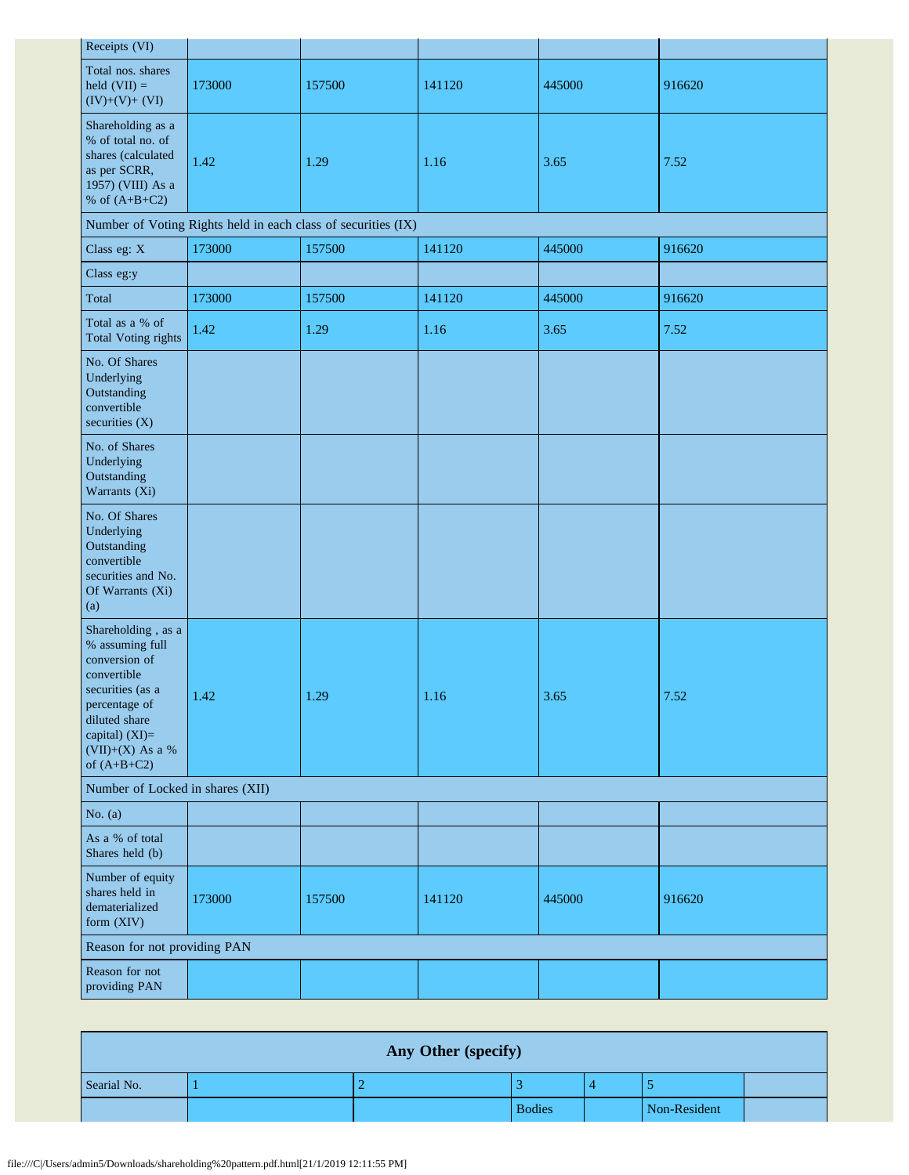| Receipts (VI)                                                                                                                                                                      |        |                                                               |        |        |        |  |  |
|------------------------------------------------------------------------------------------------------------------------------------------------------------------------------------|--------|---------------------------------------------------------------|--------|--------|--------|--|--|
| Total nos. shares<br>held $(VII) =$<br>$(IV)+(V)+(VI)$                                                                                                                             | 173000 | 157500                                                        | 141120 | 445000 | 916620 |  |  |
| Shareholding as a<br>% of total no. of<br>shares (calculated<br>as per SCRR,<br>1957) (VIII) As a<br>% of $(A+B+C2)$                                                               | 1.42   | 1.29                                                          | 1.16   | 3.65   | 7.52   |  |  |
|                                                                                                                                                                                    |        | Number of Voting Rights held in each class of securities (IX) |        |        |        |  |  |
| Class eg: X                                                                                                                                                                        | 173000 | 157500                                                        | 141120 | 445000 | 916620 |  |  |
| Class eg:y                                                                                                                                                                         |        |                                                               |        |        |        |  |  |
| Total                                                                                                                                                                              | 173000 | 157500                                                        | 141120 | 445000 | 916620 |  |  |
| Total as a % of<br><b>Total Voting rights</b>                                                                                                                                      | 1.42   | 1.29                                                          | 1.16   | 3.65   | 7.52   |  |  |
| No. Of Shares<br>Underlying<br>Outstanding<br>convertible<br>securities $(X)$                                                                                                      |        |                                                               |        |        |        |  |  |
| No. of Shares<br>Underlying<br>Outstanding<br>Warrants (Xi)                                                                                                                        |        |                                                               |        |        |        |  |  |
| No. Of Shares<br>Underlying<br>Outstanding<br>convertible<br>securities and No.<br>Of Warrants (Xi)<br>(a)                                                                         |        |                                                               |        |        |        |  |  |
| Shareholding, as a<br>% assuming full<br>conversion of<br>convertible<br>securities (as a<br>percentage of<br>diluted share<br>capital) (XI)=<br>(VII)+(X) As a %<br>of $(A+B+C2)$ | 1.42   | 1.29                                                          | 1.16   | 3.65   | 7.52   |  |  |
| Number of Locked in shares (XII)                                                                                                                                                   |        |                                                               |        |        |        |  |  |
| No. $(a)$                                                                                                                                                                          |        |                                                               |        |        |        |  |  |
| As a % of total<br>Shares held (b)                                                                                                                                                 |        |                                                               |        |        |        |  |  |
| Number of equity<br>shares held in<br>dematerialized<br>form (XIV)                                                                                                                 | 173000 | 157500                                                        | 141120 | 445000 | 916620 |  |  |
| Reason for not providing PAN                                                                                                                                                       |        |                                                               |        |        |        |  |  |
| Reason for not<br>providing PAN                                                                                                                                                    |        |                                                               |        |        |        |  |  |

| Any Other (specify) |  |  |               |  |              |  |  |
|---------------------|--|--|---------------|--|--------------|--|--|
| Searial No.         |  |  |               |  |              |  |  |
|                     |  |  | <b>Bodies</b> |  | Non-Resident |  |  |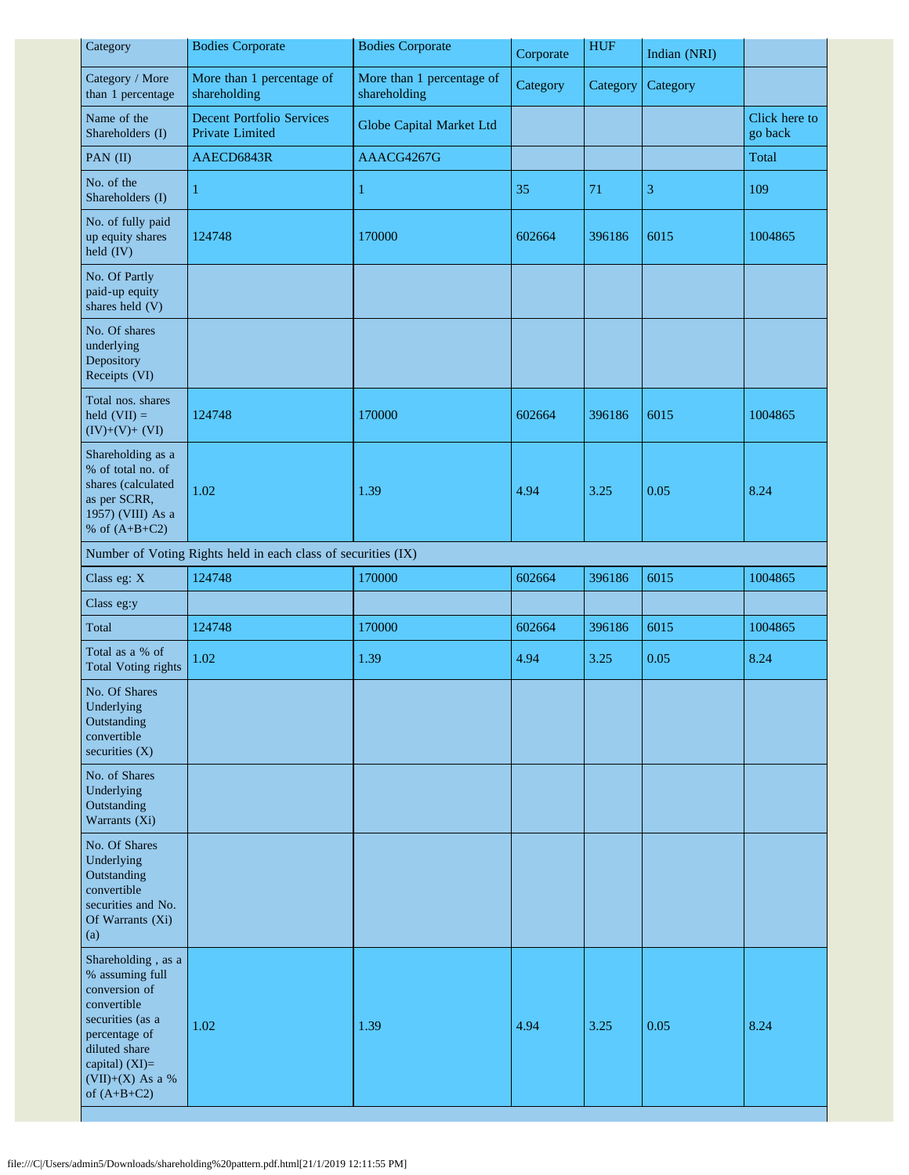| Category                                                                                                                                                                             | <b>Bodies Corporate</b>                                       | <b>Bodies Corporate</b>                   | Corporate | <b>HUF</b> | Indian (NRI) |                          |
|--------------------------------------------------------------------------------------------------------------------------------------------------------------------------------------|---------------------------------------------------------------|-------------------------------------------|-----------|------------|--------------|--------------------------|
| Category / More<br>than 1 percentage                                                                                                                                                 | More than 1 percentage of<br>shareholding                     | More than 1 percentage of<br>shareholding | Category  | Category   | Category     |                          |
| Name of the<br>Shareholders (I)                                                                                                                                                      | <b>Decent Portfolio Services</b><br>Private Limited           | Globe Capital Market Ltd                  |           |            |              | Click here to<br>go back |
| PAN (II)                                                                                                                                                                             | AAECD6843R                                                    | AAACG4267G                                |           |            |              | Total                    |
| No. of the<br>Shareholders (I)                                                                                                                                                       |                                                               | $\mathbf{1}$                              | 35        | 71         | 3            | 109                      |
| No. of fully paid<br>up equity shares<br>held (IV)                                                                                                                                   | 124748                                                        | 170000                                    | 602664    | 396186     | 6015         | 1004865                  |
| No. Of Partly<br>paid-up equity<br>shares held (V)                                                                                                                                   |                                                               |                                           |           |            |              |                          |
| No. Of shares<br>underlying<br>Depository<br>Receipts (VI)                                                                                                                           |                                                               |                                           |           |            |              |                          |
| Total nos. shares<br>held $(VII) =$<br>$(IV)+(V)+(VI)$                                                                                                                               | 124748                                                        | 170000                                    | 602664    | 396186     | 6015         | 1004865                  |
| Shareholding as a<br>% of total no. of<br>shares (calculated<br>as per SCRR,<br>1957) (VIII) As a<br>% of $(A+B+C2)$                                                                 | 1.02                                                          | 1.39                                      | 4.94      | 3.25       | 0.05         | 8.24                     |
|                                                                                                                                                                                      | Number of Voting Rights held in each class of securities (IX) |                                           |           |            |              |                          |
| Class eg: X                                                                                                                                                                          | 124748                                                        | 170000                                    | 602664    | 396186     | 6015         | 1004865                  |
| Class eg:y                                                                                                                                                                           |                                                               |                                           |           |            |              |                          |
| Total                                                                                                                                                                                | 124748                                                        | 170000                                    | 602664    | 396186     | 6015         | 1004865                  |
| Total as a % of<br><b>Total Voting rights</b>                                                                                                                                        | 1.02                                                          | 1.39                                      | 4.94      | 3.25       | 0.05         | 8.24                     |
| No. Of Shares<br>Underlying<br>Outstanding<br>convertible<br>securities $(X)$                                                                                                        |                                                               |                                           |           |            |              |                          |
| No. of Shares<br>Underlying<br>Outstanding<br>Warrants (Xi)                                                                                                                          |                                                               |                                           |           |            |              |                          |
| No. Of Shares<br>Underlying<br>Outstanding<br>convertible<br>securities and No.<br>Of Warrants (Xi)<br>(a)                                                                           |                                                               |                                           |           |            |              |                          |
| Shareholding, as a<br>% assuming full<br>conversion of<br>convertible<br>securities (as a<br>percentage of<br>diluted share<br>capital) (XI)=<br>$(VII)+(X)$ As a %<br>of $(A+B+C2)$ | 1.02                                                          | 1.39                                      | 4.94      | 3.25       | 0.05         | 8.24                     |